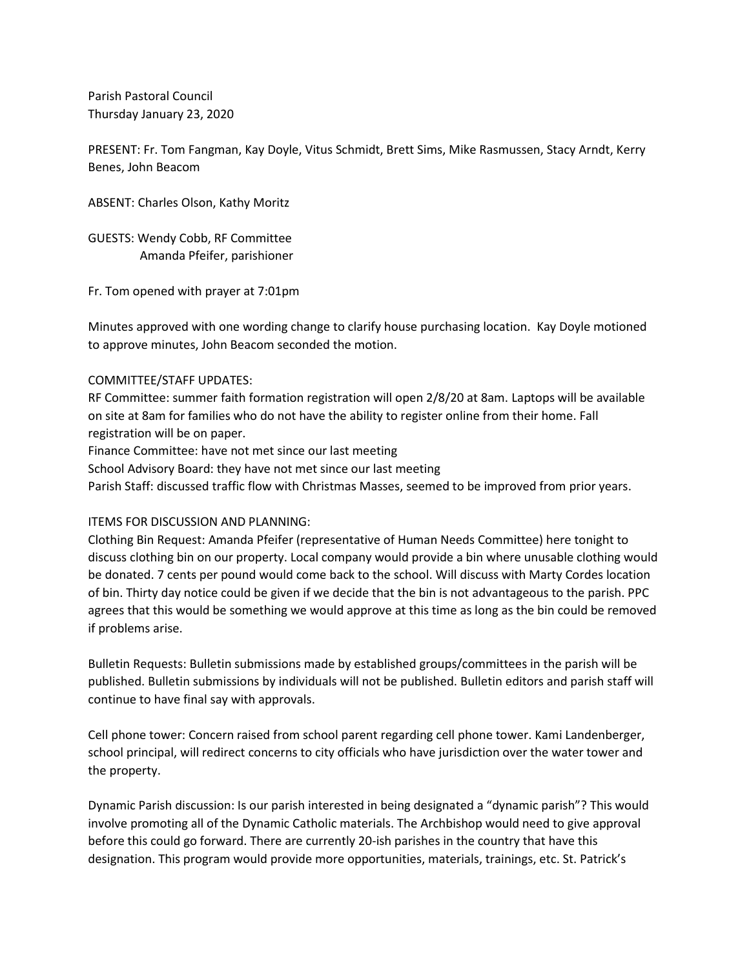Parish Pastoral Council Thursday January 23, 2020

PRESENT: Fr. Tom Fangman, Kay Doyle, Vitus Schmidt, Brett Sims, Mike Rasmussen, Stacy Arndt, Kerry Benes, John Beacom

ABSENT: Charles Olson, Kathy Moritz

GUESTS: Wendy Cobb, RF Committee Amanda Pfeifer, parishioner

Fr. Tom opened with prayer at 7:01pm

Minutes approved with one wording change to clarify house purchasing location. Kay Doyle motioned to approve minutes, John Beacom seconded the motion.

## COMMITTEE/STAFF UPDATES:

RF Committee: summer faith formation registration will open 2/8/20 at 8am. Laptops will be available on site at 8am for families who do not have the ability to register online from their home. Fall registration will be on paper.

Finance Committee: have not met since our last meeting

School Advisory Board: they have not met since our last meeting

Parish Staff: discussed traffic flow with Christmas Masses, seemed to be improved from prior years.

## ITEMS FOR DISCUSSION AND PLANNING:

Clothing Bin Request: Amanda Pfeifer (representative of Human Needs Committee) here tonight to discuss clothing bin on our property. Local company would provide a bin where unusable clothing would be donated. 7 cents per pound would come back to the school. Will discuss with Marty Cordes location of bin. Thirty day notice could be given if we decide that the bin is not advantageous to the parish. PPC agrees that this would be something we would approve at this time as long as the bin could be removed if problems arise.

Bulletin Requests: Bulletin submissions made by established groups/committees in the parish will be published. Bulletin submissions by individuals will not be published. Bulletin editors and parish staff will continue to have final say with approvals.

Cell phone tower: Concern raised from school parent regarding cell phone tower. Kami Landenberger, school principal, will redirect concerns to city officials who have jurisdiction over the water tower and the property.

Dynamic Parish discussion: Is our parish interested in being designated a "dynamic parish"? This would involve promoting all of the Dynamic Catholic materials. The Archbishop would need to give approval before this could go forward. There are currently 20-ish parishes in the country that have this designation. This program would provide more opportunities, materials, trainings, etc. St. Patrick's